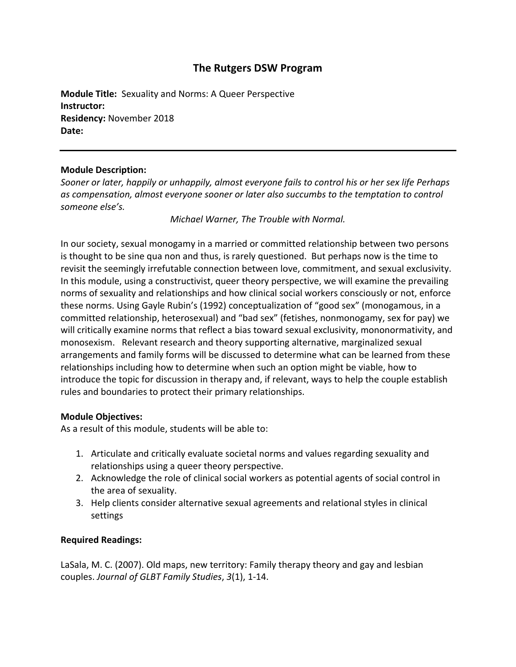## **The Rutgers DSW Program**

**Module Title:** Sexuality and Norms: A Queer Perspective **Instructor: Residency:** November 2018 **Date:**

## **Module Description:**

*Sooner or later, happily or unhappily, almost everyone fails to control his or her sex life Perhaps as compensation, almost everyone sooner or later also succumbs to the temptation to control someone else's.*

*Michael Warner, The Trouble with Normal.*

In our society, sexual monogamy in a married or committed relationship between two persons is thought to be sine qua non and thus, is rarely questioned. But perhaps now is the time to revisit the seemingly irrefutable connection between love, commitment, and sexual exclusivity. In this module, using a constructivist, queer theory perspective, we will examine the prevailing norms of sexuality and relationships and how clinical social workers consciously or not, enforce these norms. Using Gayle Rubin's (1992) conceptualization of "good sex" (monogamous, in a committed relationship, heterosexual) and "bad sex" (fetishes, nonmonogamy, sex for pay) we will critically examine norms that reflect a bias toward sexual exclusivity, mononormativity, and monosexism. Relevant research and theory supporting alternative, marginalized sexual arrangements and family forms will be discussed to determine what can be learned from these relationships including how to determine when such an option might be viable, how to introduce the topic for discussion in therapy and, if relevant, ways to help the couple establish rules and boundaries to protect their primary relationships.

## **Module Objectives:**

As a result of this module, students will be able to:

- 1. Articulate and critically evaluate societal norms and values regarding sexuality and relationships using a queer theory perspective.
- 2. Acknowledge the role of clinical social workers as potential agents of social control in the area of sexuality.
- 3. Help clients consider alternative sexual agreements and relational styles in clinical settings

## **Required Readings:**

LaSala, M. C. (2007). Old maps, new territory: Family therapy theory and gay and lesbian couples. *Journal of GLBT Family Studies*, *3*(1), 1-14.